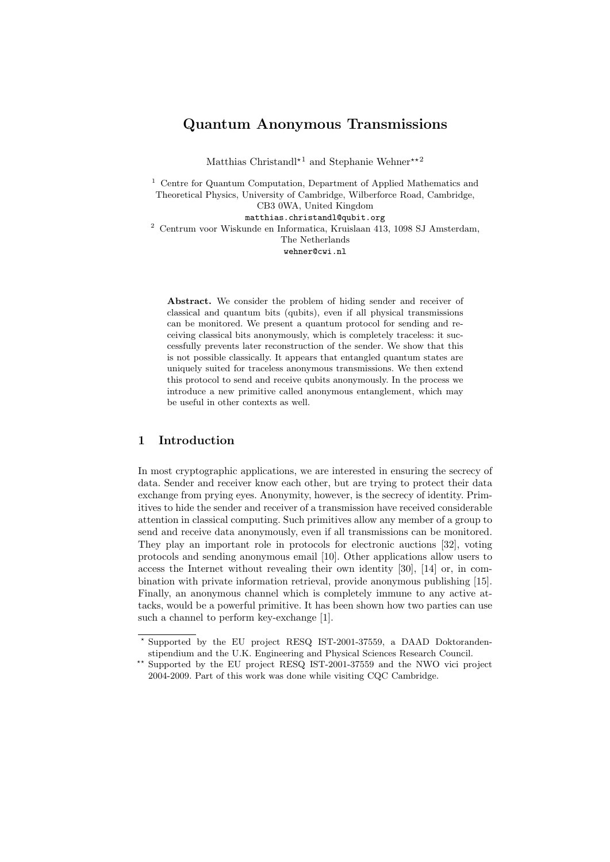# Quantum Anonymous Transmissions

Matthias Christandl<sup>\*1</sup> and Stephanie Wehner<sup>\*\*2</sup>

<sup>1</sup> Centre for Quantum Computation, Department of Applied Mathematics and Theoretical Physics, University of Cambridge, Wilberforce Road, Cambridge, CB3 0WA, United Kingdom matthias.christandl@qubit.org <sup>2</sup> Centrum voor Wiskunde en Informatica, Kruislaan 413, 1098 SJ Amsterdam, The Netherlands wehner@cwi.nl

Abstract. We consider the problem of hiding sender and receiver of classical and quantum bits (qubits), even if all physical transmissions can be monitored. We present a quantum protocol for sending and receiving classical bits anonymously, which is completely traceless: it successfully prevents later reconstruction of the sender. We show that this is not possible classically. It appears that entangled quantum states are uniquely suited for traceless anonymous transmissions. We then extend this protocol to send and receive qubits anonymously. In the process we introduce a new primitive called anonymous entanglement, which may be useful in other contexts as well.

# 1 Introduction

In most cryptographic applications, we are interested in ensuring the secrecy of data. Sender and receiver know each other, but are trying to protect their data exchange from prying eyes. Anonymity, however, is the secrecy of identity. Primitives to hide the sender and receiver of a transmission have received considerable attention in classical computing. Such primitives allow any member of a group to send and receive data anonymously, even if all transmissions can be monitored. They play an important role in protocols for electronic auctions [32], voting protocols and sending anonymous email [10]. Other applications allow users to access the Internet without revealing their own identity [30], [14] or, in combination with private information retrieval, provide anonymous publishing [15]. Finally, an anonymous channel which is completely immune to any active attacks, would be a powerful primitive. It has been shown how two parties can use such a channel to perform key-exchange [1].

<sup>?</sup> Supported by the EU project RESQ IST-2001-37559, a DAAD Doktorandenstipendium and the U.K. Engineering and Physical Sciences Research Council.

<sup>\*\*</sup> Supported by the EU project RESQ IST-2001-37559 and the NWO vici project 2004-2009. Part of this work was done while visiting CQC Cambridge.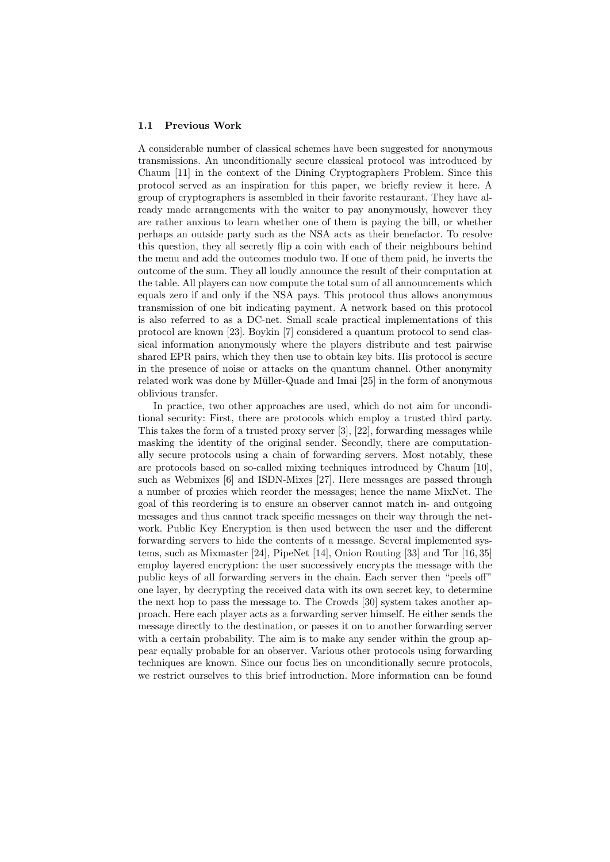#### 1.1 Previous Work

A considerable number of classical schemes have been suggested for anonymous transmissions. An unconditionally secure classical protocol was introduced by Chaum [11] in the context of the Dining Cryptographers Problem. Since this protocol served as an inspiration for this paper, we briefly review it here. A group of cryptographers is assembled in their favorite restaurant. They have already made arrangements with the waiter to pay anonymously, however they are rather anxious to learn whether one of them is paying the bill, or whether perhaps an outside party such as the NSA acts as their benefactor. To resolve this question, they all secretly flip a coin with each of their neighbours behind the menu and add the outcomes modulo two. If one of them paid, he inverts the outcome of the sum. They all loudly announce the result of their computation at the table. All players can now compute the total sum of all announcements which equals zero if and only if the NSA pays. This protocol thus allows anonymous transmission of one bit indicating payment. A network based on this protocol is also referred to as a DC-net. Small scale practical implementations of this protocol are known [23]. Boykin [7] considered a quantum protocol to send classical information anonymously where the players distribute and test pairwise shared EPR pairs, which they then use to obtain key bits. His protocol is secure in the presence of noise or attacks on the quantum channel. Other anonymity related work was done by Müller-Quade and Imai [25] in the form of anonymous oblivious transfer.

In practice, two other approaches are used, which do not aim for unconditional security: First, there are protocols which employ a trusted third party. This takes the form of a trusted proxy server [3], [22], forwarding messages while masking the identity of the original sender. Secondly, there are computationally secure protocols using a chain of forwarding servers. Most notably, these are protocols based on so-called mixing techniques introduced by Chaum [10], such as Webmixes [6] and ISDN-Mixes [27]. Here messages are passed through a number of proxies which reorder the messages; hence the name MixNet. The goal of this reordering is to ensure an observer cannot match in- and outgoing messages and thus cannot track specific messages on their way through the network. Public Key Encryption is then used between the user and the different forwarding servers to hide the contents of a message. Several implemented systems, such as Mixmaster [24], PipeNet [14], Onion Routing [33] and Tor [16, 35] employ layered encryption: the user successively encrypts the message with the public keys of all forwarding servers in the chain. Each server then "peels off" one layer, by decrypting the received data with its own secret key, to determine the next hop to pass the message to. The Crowds [30] system takes another approach. Here each player acts as a forwarding server himself. He either sends the message directly to the destination, or passes it on to another forwarding server with a certain probability. The aim is to make any sender within the group appear equally probable for an observer. Various other protocols using forwarding techniques are known. Since our focus lies on unconditionally secure protocols, we restrict ourselves to this brief introduction. More information can be found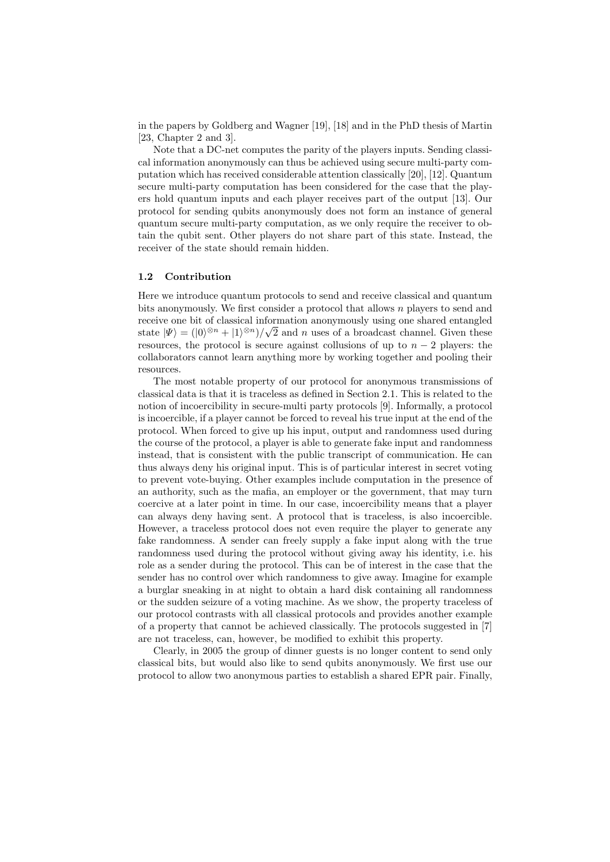in the papers by Goldberg and Wagner [19], [18] and in the PhD thesis of Martin [23, Chapter 2 and 3].

Note that a DC-net computes the parity of the players inputs. Sending classical information anonymously can thus be achieved using secure multi-party computation which has received considerable attention classically [20], [12]. Quantum secure multi-party computation has been considered for the case that the players hold quantum inputs and each player receives part of the output [13]. Our protocol for sending qubits anonymously does not form an instance of general quantum secure multi-party computation, as we only require the receiver to obtain the qubit sent. Other players do not share part of this state. Instead, the receiver of the state should remain hidden.

# 1.2 Contribution

Here we introduce quantum protocols to send and receive classical and quantum bits anonymously. We first consider a protocol that allows n players to send and receive one bit of classical information anonymously using one shared entangled √ state  $|\Psi\rangle = (0^{\otimes n} + |1\rangle^{\otimes n})/\sqrt{2}$  and *n* uses of a broadcast channel. Given these resources, the protocol is secure against collusions of up to  $n-2$  players: the collaborators cannot learn anything more by working together and pooling their resources.

The most notable property of our protocol for anonymous transmissions of classical data is that it is traceless as defined in Section 2.1. This is related to the notion of incoercibility in secure-multi party protocols [9]. Informally, a protocol is incoercible, if a player cannot be forced to reveal his true input at the end of the protocol. When forced to give up his input, output and randomness used during the course of the protocol, a player is able to generate fake input and randomness instead, that is consistent with the public transcript of communication. He can thus always deny his original input. This is of particular interest in secret voting to prevent vote-buying. Other examples include computation in the presence of an authority, such as the mafia, an employer or the government, that may turn coercive at a later point in time. In our case, incoercibility means that a player can always deny having sent. A protocol that is traceless, is also incoercible. However, a traceless protocol does not even require the player to generate any fake randomness. A sender can freely supply a fake input along with the true randomness used during the protocol without giving away his identity, i.e. his role as a sender during the protocol. This can be of interest in the case that the sender has no control over which randomness to give away. Imagine for example a burglar sneaking in at night to obtain a hard disk containing all randomness or the sudden seizure of a voting machine. As we show, the property traceless of our protocol contrasts with all classical protocols and provides another example of a property that cannot be achieved classically. The protocols suggested in [7] are not traceless, can, however, be modified to exhibit this property.

Clearly, in 2005 the group of dinner guests is no longer content to send only classical bits, but would also like to send qubits anonymously. We first use our protocol to allow two anonymous parties to establish a shared EPR pair. Finally,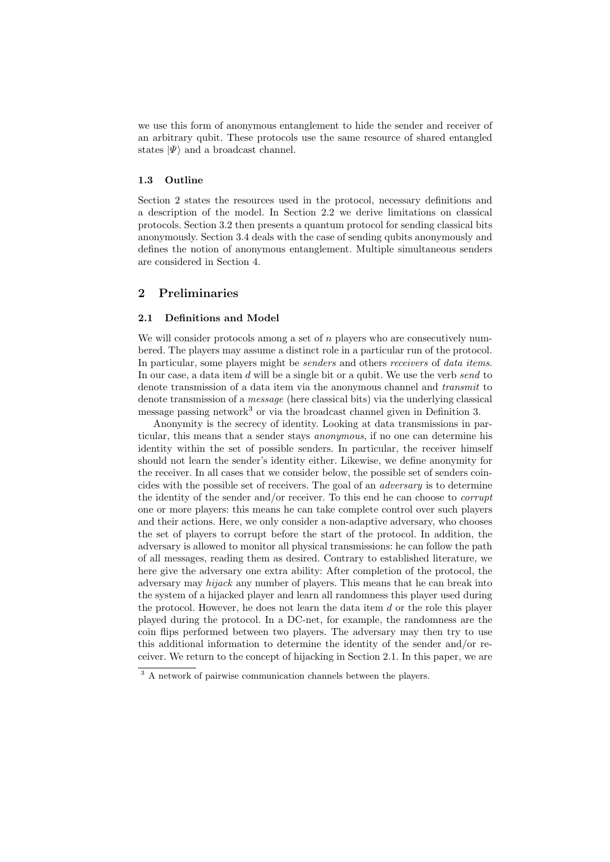we use this form of anonymous entanglement to hide the sender and receiver of an arbitrary qubit. These protocols use the same resource of shared entangled states  $|\Psi\rangle$  and a broadcast channel.

#### 1.3 Outline

Section 2 states the resources used in the protocol, necessary definitions and a description of the model. In Section 2.2 we derive limitations on classical protocols. Section 3.2 then presents a quantum protocol for sending classical bits anonymously. Section 3.4 deals with the case of sending qubits anonymously and defines the notion of anonymous entanglement. Multiple simultaneous senders are considered in Section 4.

# 2 Preliminaries

#### 2.1 Definitions and Model

We will consider protocols among a set of  $n$  players who are consecutively numbered. The players may assume a distinct role in a particular run of the protocol. In particular, some players might be *senders* and others *receivers* of *data items*. In our case, a data item  $d$  will be a single bit or a qubit. We use the verb send to denote transmission of a data item via the anonymous channel and *transmit* to denote transmission of a message (here classical bits) via the underlying classical message passing network<sup>3</sup> or via the broadcast channel given in Definition 3.

Anonymity is the secrecy of identity. Looking at data transmissions in particular, this means that a sender stays anonymous, if no one can determine his identity within the set of possible senders. In particular, the receiver himself should not learn the sender's identity either. Likewise, we define anonymity for the receiver. In all cases that we consider below, the possible set of senders coincides with the possible set of receivers. The goal of an adversary is to determine the identity of the sender and/or receiver. To this end he can choose to corrupt one or more players: this means he can take complete control over such players and their actions. Here, we only consider a non-adaptive adversary, who chooses the set of players to corrupt before the start of the protocol. In addition, the adversary is allowed to monitor all physical transmissions: he can follow the path of all messages, reading them as desired. Contrary to established literature, we here give the adversary one extra ability: After completion of the protocol, the adversary may hijack any number of players. This means that he can break into the system of a hijacked player and learn all randomness this player used during the protocol. However, he does not learn the data item  $d$  or the role this player played during the protocol. In a DC-net, for example, the randomness are the coin flips performed between two players. The adversary may then try to use this additional information to determine the identity of the sender and/or receiver. We return to the concept of hijacking in Section 2.1. In this paper, we are

<sup>&</sup>lt;sup>3</sup> A network of pairwise communication channels between the players.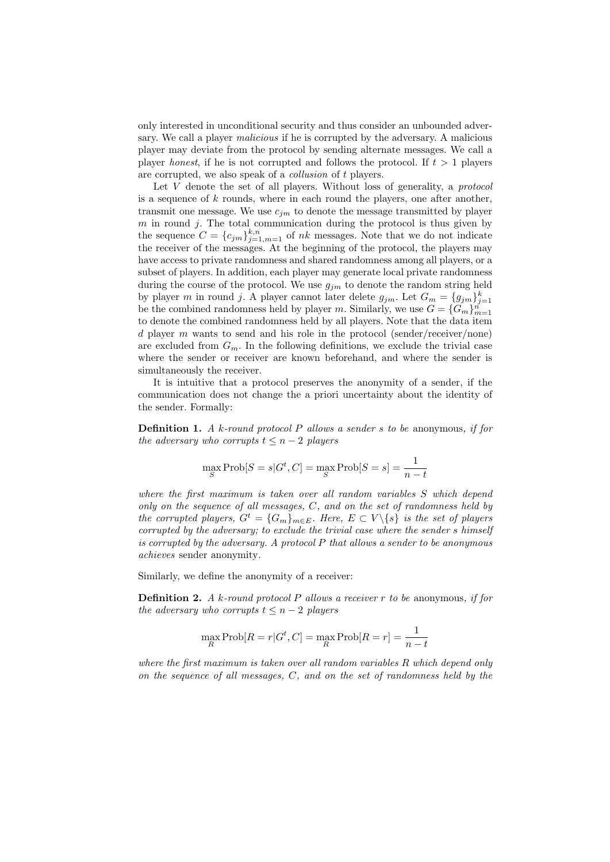only interested in unconditional security and thus consider an unbounded adversary. We call a player malicious if he is corrupted by the adversary. A malicious player may deviate from the protocol by sending alternate messages. We call a player *honest*, if he is not corrupted and follows the protocol. If  $t > 1$  players are corrupted, we also speak of a collusion of t players.

Let  $V$  denote the set of all players. Without loss of generality, a *protocol* is a sequence of  $k$  rounds, where in each round the players, one after another, transmit one message. We use  $c_{im}$  to denote the message transmitted by player m in round j. The total communication during the protocol is thus given by the sequence  $C = \{c_{jm}\}_{j=1,m=1}^{k,n}$  of nk messages. Note that we do not indicate the receiver of the messages. At the beginning of the protocol, the players may have access to private randomness and shared randomness among all players, or a subset of players. In addition, each player may generate local private randomness during the course of the protocol. We use  $g_{jm}$  to denote the random string held by player m in round j. A player cannot later delete  $g_{jm}$ . Let  $G_m = \{g_{jm}\}_{j=1}^k$ be the combined randomness held by player m. Similarly, we use  $G = \{G_m\}_{m=1}^{\tilde{n}}$ to denote the combined randomness held by all players. Note that the data item d player  $m$  wants to send and his role in the protocol (sender/receiver/none) are excluded from  $G_m$ . In the following definitions, we exclude the trivial case where the sender or receiver are known beforehand, and where the sender is simultaneously the receiver.

It is intuitive that a protocol preserves the anonymity of a sender, if the communication does not change the a priori uncertainty about the identity of the sender. Formally:

**Definition 1.** A k-round protocol P allows a sender s to be anonymous, if for the adversary who corrupts  $t \leq n-2$  players

$$
\max_{S} \text{Prob}[S = s | G^t, C] = \max_{S} \text{Prob}[S = s] = \frac{1}{n - t}
$$

where the first maximum is taken over all random variables S which depend only on the sequence of all messages, C, and on the set of randomness held by the corrupted players,  $G^t = \{G_m\}_{m \in E}$ . Here,  $E \subset V \setminus \{s\}$  is the set of players corrupted by the adversary; to exclude the trivial case where the sender s himself is corrupted by the adversary. A protocol  $P$  that allows a sender to be anonymous achieves sender anonymity.

Similarly, we define the anonymity of a receiver:

**Definition 2.** A k-round protocol P allows a receiver r to be anonymous, if for the adversary who corrupts  $t \leq n-2$  players

$$
\max_{R} \text{Prob}[R = r | G^t, C] = \max_{R} \text{Prob}[R = r] = \frac{1}{n - t}
$$

where the first maximum is taken over all random variables R which depend only on the sequence of all messages, C, and on the set of randomness held by the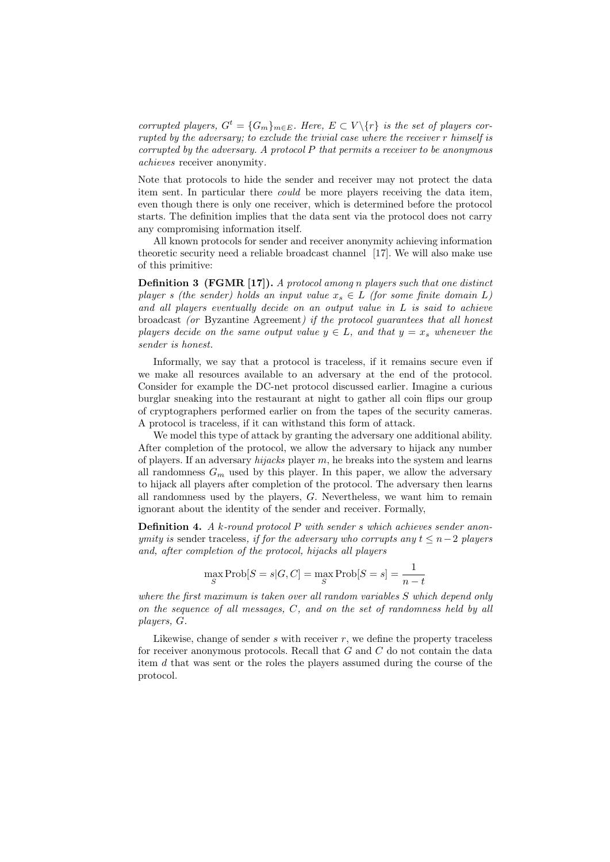corrupted players,  $G^t = \{G_m\}_{m \in E}$ . Here,  $E \subset V \backslash \{r\}$  is the set of players corrupted by the adversary; to exclude the trivial case where the receiver r himself is corrupted by the adversary. A protocol  $P$  that permits a receiver to be anonymous achieves receiver anonymity.

Note that protocols to hide the sender and receiver may not protect the data item sent. In particular there could be more players receiving the data item, even though there is only one receiver, which is determined before the protocol starts. The definition implies that the data sent via the protocol does not carry any compromising information itself.

All known protocols for sender and receiver anonymity achieving information theoretic security need a reliable broadcast channel [17]. We will also make use of this primitive:

Definition 3 (FGMR [17]). A protocol among n players such that one distinct player s (the sender) holds an input value  $x_s \in L$  (for some finite domain L) and all players eventually decide on an output value in L is said to achieve broadcast (or Byzantine Agreement) if the protocol guarantees that all honest players decide on the same output value  $y \in L$ , and that  $y = x_s$  whenever the sender is honest.

Informally, we say that a protocol is traceless, if it remains secure even if we make all resources available to an adversary at the end of the protocol. Consider for example the DC-net protocol discussed earlier. Imagine a curious burglar sneaking into the restaurant at night to gather all coin flips our group of cryptographers performed earlier on from the tapes of the security cameras. A protocol is traceless, if it can withstand this form of attack.

We model this type of attack by granting the adversary one additional ability. After completion of the protocol, we allow the adversary to hijack any number of players. If an adversary  $hijacks$  player  $m$ , he breaks into the system and learns all randomness  $G_m$  used by this player. In this paper, we allow the adversary to hijack all players after completion of the protocol. The adversary then learns all randomness used by the players, G. Nevertheless, we want him to remain ignorant about the identity of the sender and receiver. Formally,

**Definition 4.** A k-round protocol  $P$  with sender  $s$  which achieves sender anonymity is sender traceless, if for the adversary who corrupts any  $t \leq n-2$  players and, after completion of the protocol, hijacks all players

$$
\max_{S} \text{Prob}[S = s | G, C] = \max_{S} \text{Prob}[S = s] = \frac{1}{n - t}
$$

where the first maximum is taken over all random variables S which depend only on the sequence of all messages, C, and on the set of randomness held by all players, G.

Likewise, change of sender  $s$  with receiver  $r$ , we define the property traceless for receiver anonymous protocols. Recall that G and C do not contain the data item d that was sent or the roles the players assumed during the course of the protocol.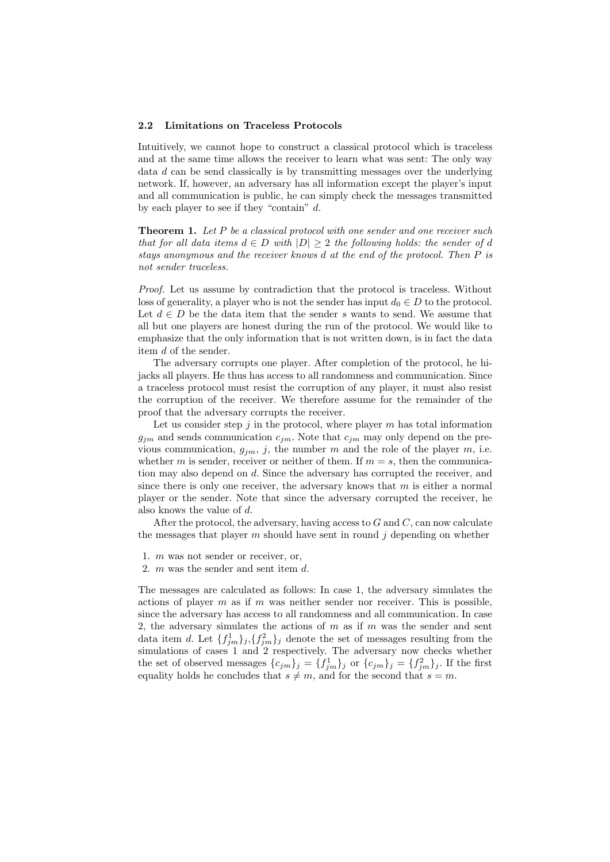#### 2.2 Limitations on Traceless Protocols

Intuitively, we cannot hope to construct a classical protocol which is traceless and at the same time allows the receiver to learn what was sent: The only way data d can be send classically is by transmitting messages over the underlying network. If, however, an adversary has all information except the player's input and all communication is public, he can simply check the messages transmitted by each player to see if they "contain" d.

**Theorem 1.** Let  $P$  be a classical protocol with one sender and one receiver such that for all data items  $d \in D$  with  $|D| \geq 2$  the following holds: the sender of d stays anonymous and the receiver knows d at the end of the protocol. Then P is not sender traceless.

Proof. Let us assume by contradiction that the protocol is traceless. Without loss of generality, a player who is not the sender has input  $d_0 \in D$  to the protocol. Let  $d \in D$  be the data item that the sender s wants to send. We assume that all but one players are honest during the run of the protocol. We would like to emphasize that the only information that is not written down, is in fact the data item d of the sender.

The adversary corrupts one player. After completion of the protocol, he hijacks all players. He thus has access to all randomness and communication. Since a traceless protocol must resist the corruption of any player, it must also resist the corruption of the receiver. We therefore assume for the remainder of the proof that the adversary corrupts the receiver.

Let us consider step  $j$  in the protocol, where player  $m$  has total information  $g_{jm}$  and sends communication  $c_{jm}$ . Note that  $c_{jm}$  may only depend on the previous communication,  $g_{im}$ , j, the number m and the role of the player m, i.e. whether m is sender, receiver or neither of them. If  $m = s$ , then the communication may also depend on d. Since the adversary has corrupted the receiver, and since there is only one receiver, the adversary knows that  $m$  is either a normal player or the sender. Note that since the adversary corrupted the receiver, he also knows the value of d.

After the protocol, the adversary, having access to  $G$  and  $C$ , can now calculate the messages that player m should have sent in round  $i$  depending on whether

- 1. m was not sender or receiver, or,
- 2. m was the sender and sent item d.

The messages are calculated as follows: In case 1, the adversary simulates the actions of player  $m$  as if  $m$  was neither sender nor receiver. This is possible, since the adversary has access to all randomness and all communication. In case 2, the adversary simulates the actions of  $m$  as if  $m$  was the sender and sent data item d. Let  $\{f_{jm}^1\}_j$ ,  $\{f_{jm}^2\}_j$  denote the set of messages resulting from the simulations of cases 1 and 2 respectively. The adversary now checks whether the set of observed messages  $\{c_{jm}\}_j = \{f_{jm}^1\}_j$  or  $\{c_{jm}\}_j = \{f_{jm}^2\}_j$ . If the first equality holds he concludes that  $s \neq m$ , and for the second that  $s = m$ .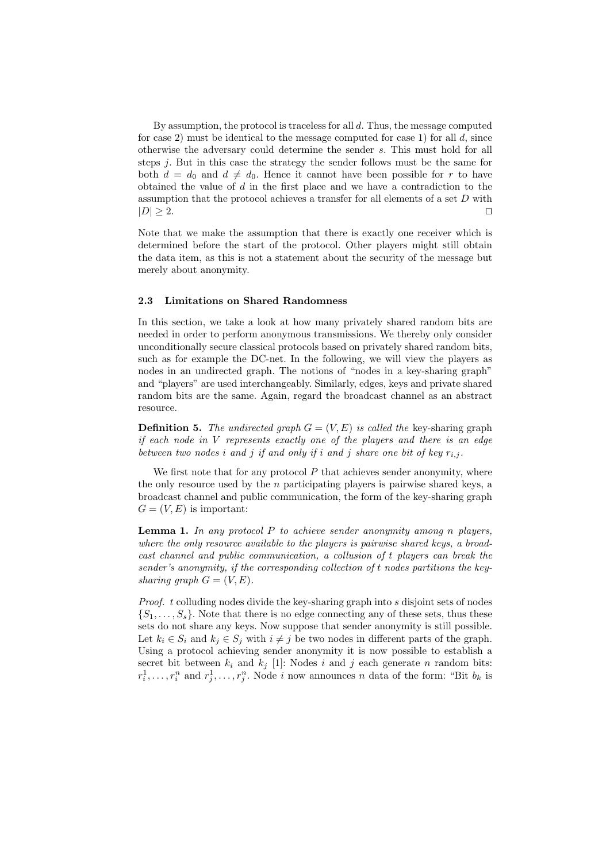By assumption, the protocol is traceless for all  $d$ . Thus, the message computed for case 2) must be identical to the message computed for case 1) for all  $d$ , since otherwise the adversary could determine the sender s. This must hold for all steps j. But in this case the strategy the sender follows must be the same for both  $d = d_0$  and  $d \neq d_0$ . Hence it cannot have been possible for r to have obtained the value of  $d$  in the first place and we have a contradiction to the assumption that the protocol achieves a transfer for all elements of a set  $D$  with  $|D| \geq 2.$ 

Note that we make the assumption that there is exactly one receiver which is determined before the start of the protocol. Other players might still obtain the data item, as this is not a statement about the security of the message but merely about anonymity.

#### 2.3 Limitations on Shared Randomness

In this section, we take a look at how many privately shared random bits are needed in order to perform anonymous transmissions. We thereby only consider unconditionally secure classical protocols based on privately shared random bits, such as for example the DC-net. In the following, we will view the players as nodes in an undirected graph. The notions of "nodes in a key-sharing graph" and "players" are used interchangeably. Similarly, edges, keys and private shared random bits are the same. Again, regard the broadcast channel as an abstract resource.

**Definition 5.** The undirected graph  $G = (V, E)$  is called the key-sharing graph if each node in V represents exactly one of the players and there is an edge between two nodes i and j if and only if i and j share one bit of key  $r_{i,j}$ .

We first note that for any protocol  $P$  that achieves sender anonymity, where the only resource used by the  $n$  participating players is pairwise shared keys, a broadcast channel and public communication, the form of the key-sharing graph  $G = (V, E)$  is important:

**Lemma 1.** In any protocol  $P$  to achieve sender anonymity among n players, where the only resource available to the players is pairwise shared keys, a broadcast channel and public communication, a collusion of t players can break the sender's anonymity, if the corresponding collection of t nodes partitions the keysharing graph  $G = (V, E)$ .

Proof. t colluding nodes divide the key-sharing graph into s disjoint sets of nodes  $\{S_1, \ldots, S_s\}$ . Note that there is no edge connecting any of these sets, thus these sets do not share any keys. Now suppose that sender anonymity is still possible. Let  $k_i \in S_i$  and  $k_j \in S_j$  with  $i \neq j$  be two nodes in different parts of the graph. Using a protocol achieving sender anonymity it is now possible to establish a secret bit between  $k_i$  and  $k_j$  [1]: Nodes i and j each generate n random bits:  $r_i^1, \ldots, r_i^n$  and  $r_j^1, \ldots, r_j^n$ . Node i now announces n data of the form: "Bit  $b_k$  is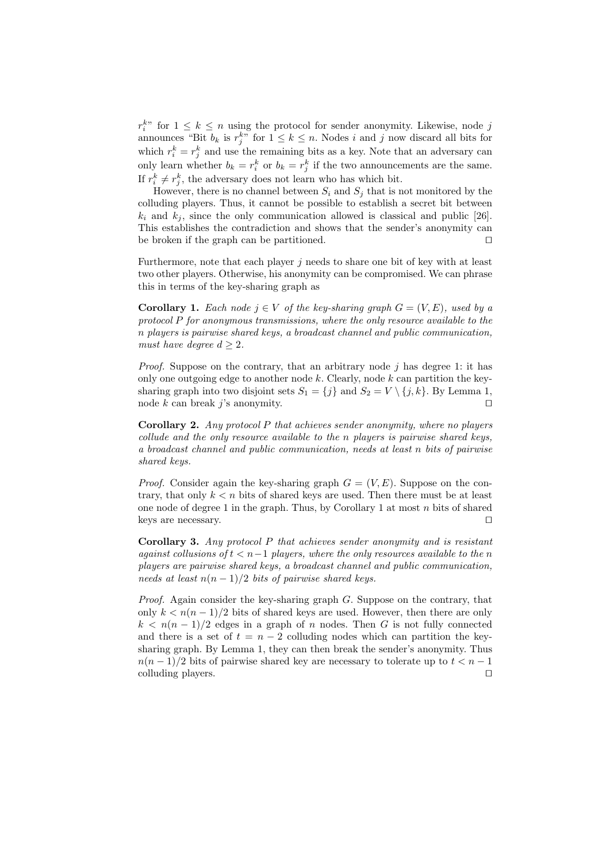$r_i^{k}$  for  $1 \leq k \leq n$  using the protocol for sender anonymity. Likewise, node j announces "Bit  $b_k$  is  $r_j^{k}$ " for  $1 \leq k \leq n$ . Nodes i and j now discard all bits for which  $r_i^k = r_j^k$  and use the remaining bits as a key. Note that an adversary can only learn whether  $b_k = r_i^k$  or  $b_k = r_j^k$  if the two announcements are the same. If  $r_i^k \neq r_j^k$ , the adversary does not learn who has which bit.

However, there is no channel between  $S_i$  and  $S_j$  that is not monitored by the colluding players. Thus, it cannot be possible to establish a secret bit between  $k_i$  and  $k_j$ , since the only communication allowed is classical and public [26]. This establishes the contradiction and shows that the sender's anonymity can be broken if the graph can be partitioned.  $\square$ 

Furthermore, note that each player j needs to share one bit of key with at least two other players. Otherwise, his anonymity can be compromised. We can phrase this in terms of the key-sharing graph as

**Corollary 1.** Each node  $j \in V$  of the key-sharing graph  $G = (V, E)$ , used by a protocol P for anonymous transmissions, where the only resource available to the n players is pairwise shared keys, a broadcast channel and public communication, must have degree  $d > 2$ .

*Proof.* Suppose on the contrary, that an arbitrary node  $j$  has degree 1: it has only one outgoing edge to another node k. Clearly, node k can partition the keysharing graph into two disjoint sets  $S_1 = \{j\}$  and  $S_2 = V \setminus \{j, k\}$ . By Lemma 1, node k can break j's anonymity.  $\square$ 

Corollary 2. Any protocol P that achieves sender anonymity, where no players collude and the only resource available to the n players is pairwise shared keys, a broadcast channel and public communication, needs at least n bits of pairwise shared keys.

*Proof.* Consider again the key-sharing graph  $G = (V, E)$ . Suppose on the contrary, that only  $k < n$  bits of shared keys are used. Then there must be at least one node of degree 1 in the graph. Thus, by Corollary 1 at most  $n$  bits of shared keys are necessary.  $\Box$ 

**Corollary 3.** Any protocol  $P$  that achieves sender anonymity and is resistant against collusions of  $t < n-1$  players, where the only resources available to the n players are pairwise shared keys, a broadcast channel and public communication, needs at least  $n(n-1)/2$  bits of pairwise shared keys.

*Proof.* Again consider the key-sharing graph  $G$ . Suppose on the contrary, that only  $k < n(n-1)/2$  bits of shared keys are used. However, then there are only  $k < n(n-1)/2$  edges in a graph of n nodes. Then G is not fully connected and there is a set of  $t = n - 2$  colluding nodes which can partition the keysharing graph. By Lemma 1, they can then break the sender's anonymity. Thus  $n(n-1)/2$  bits of pairwise shared key are necessary to tolerate up to  $t < n-1$ colluding players.  $\Box$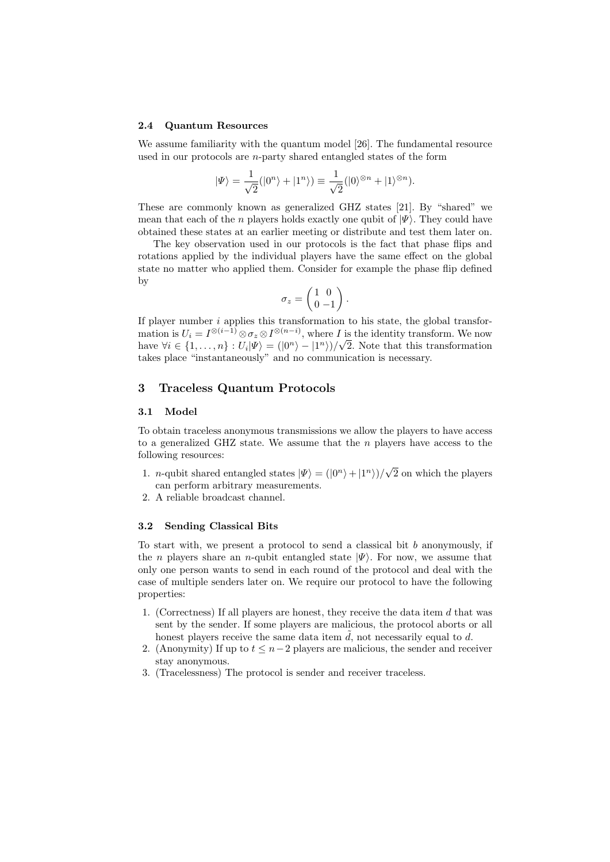#### 2.4 Quantum Resources

We assume familiarity with the quantum model [26]. The fundamental resource used in our protocols are n-party shared entangled states of the form

$$
|\Psi\rangle = \frac{1}{\sqrt{2}}(|0^n\rangle + |1^n\rangle) \equiv \frac{1}{\sqrt{2}}(|0\rangle^{\otimes n} + |1\rangle^{\otimes n}).
$$

These are commonly known as generalized GHZ states [21]. By "shared" we mean that each of the n players holds exactly one qubit of  $|\Psi\rangle$ . They could have obtained these states at an earlier meeting or distribute and test them later on.

The key observation used in our protocols is the fact that phase flips and rotations applied by the individual players have the same effect on the global state no matter who applied them. Consider for example the phase flip defined by

$$
\sigma_z = \begin{pmatrix} 1 & 0 \\ 0 & -1 \end{pmatrix}.
$$

If player number  $i$  applies this transformation to his state, the global transformation is  $U_i = I^{\otimes (i-1)} \otimes \sigma_z \otimes I^{\otimes (n-i)}$ , where I is the identity transform. We now have  $\forall i \in \{1, ..., n\} : U_i | \Psi \rangle = (|0^n\rangle - |1^n\rangle)/\sqrt{2}$ . Note that this transformation takes place "instantaneously" and no communication is necessary.

# 3 Traceless Quantum Protocols

## 3.1 Model

To obtain traceless anonymous transmissions we allow the players to have access to a generalized GHZ state. We assume that the  $n$  players have access to the following resources:

- 1. *n*-qubit shared entangled states  $|\Psi\rangle = (|0^n\rangle + |1^n\rangle)/\sqrt{ }$ 2 on which the players can perform arbitrary measurements.
- 2. A reliable broadcast channel.

# 3.2 Sending Classical Bits

To start with, we present a protocol to send a classical bit  $b$  anonymously, if the *n* players share an *n*-qubit entangled state  $|\Psi\rangle$ . For now, we assume that only one person wants to send in each round of the protocol and deal with the case of multiple senders later on. We require our protocol to have the following properties:

- 1. (Correctness) If all players are honest, they receive the data item d that was sent by the sender. If some players are malicious, the protocol aborts or all honest players receive the same data item  $\tilde{d}$ , not necessarily equal to  $d$ .
- 2. (Anonymity) If up to  $t \leq n-2$  players are malicious, the sender and receiver stay anonymous.
- 3. (Tracelessness) The protocol is sender and receiver traceless.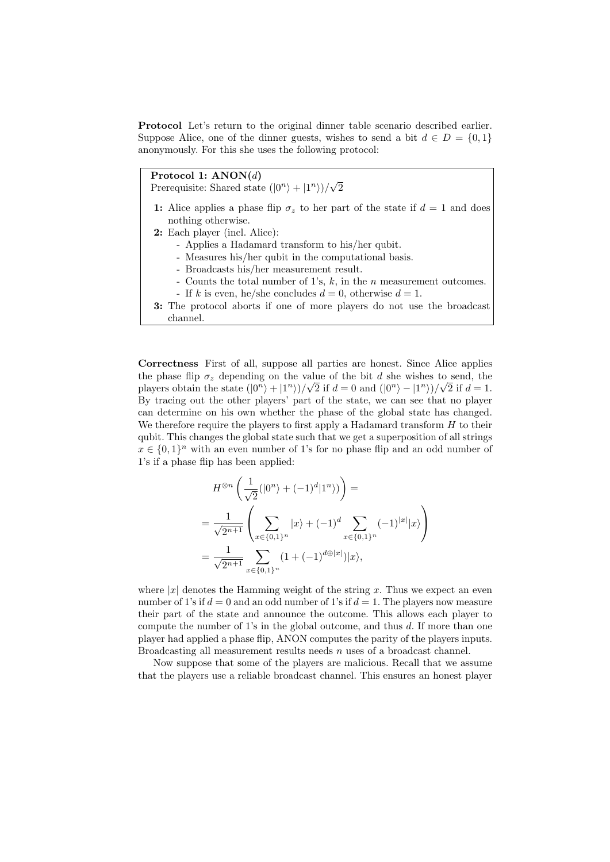Protocol Let's return to the original dinner table scenario described earlier. Suppose Alice, one of the dinner guests, wishes to send a bit  $d \in D = \{0, 1\}$ anonymously. For this she uses the following protocol:

Protocol 1:  $\text{ANON}(d)$ **Protocol 1:** ANUN(*a*)<br>Prerequisite: Shared state  $(|0^n\rangle + |1^n\rangle)/\sqrt{}$  $\overline{c}$ 1: Alice applies a phase flip  $\sigma_z$  to her part of the state if  $d = 1$  and does

- nothing otherwise. 2: Each player (incl. Alice):
	- Applies a Hadamard transform to his/her qubit.
	- Measures his/her qubit in the computational basis.
	- Broadcasts his/her measurement result.
	- Counts the total number of 1's,  $k$ , in the n measurement outcomes.
	- If k is even, he/she concludes  $d = 0$ , otherwise  $d = 1$ .
- 3: The protocol aborts if one of more players do not use the broadcast channel.

Correctness First of all, suppose all parties are honest. Since Alice applies the phase flip  $\sigma_z$  depending on the value of the bit d she wishes to send, the players obtain the state  $(|0^n\rangle + |1^n\rangle)/\sqrt{2}$  if  $d = 0$  and  $(|0^n\rangle - |1^n\rangle)/\sqrt{2}$  if  $d = 1$ . By tracing out the other players' part of the state, we can see that no player can determine on his own whether the phase of the global state has changed. We therefore require the players to first apply a Hadamard transform  $H$  to their qubit. This changes the global state such that we get a superposition of all strings  $x \in \{0,1\}^n$  with an even number of 1's for no phase flip and an odd number of 1's if a phase flip has been applied:

$$
H^{\otimes n}\left(\frac{1}{\sqrt{2}}(|0^n\rangle + (-1)^d|1^n\rangle)\right) =
$$
  
= 
$$
\frac{1}{\sqrt{2^{n+1}}} \left(\sum_{x \in \{0,1\}^n} |x\rangle + (-1)^d \sum_{x \in \{0,1\}^n} (-1)^{|x|} |x\rangle\right)
$$
  
= 
$$
\frac{1}{\sqrt{2^{n+1}}} \sum_{x \in \{0,1\}^n} (1 + (-1)^{d \oplus |x|}) |x\rangle,
$$

where  $|x|$  denotes the Hamming weight of the string x. Thus we expect an even number of 1's if  $d = 0$  and an odd number of 1's if  $d = 1$ . The players now measure their part of the state and announce the outcome. This allows each player to compute the number of 1's in the global outcome, and thus  $d$ . If more than one player had applied a phase flip, ANON computes the parity of the players inputs. Broadcasting all measurement results needs  $n$  uses of a broadcast channel.

Now suppose that some of the players are malicious. Recall that we assume that the players use a reliable broadcast channel. This ensures an honest player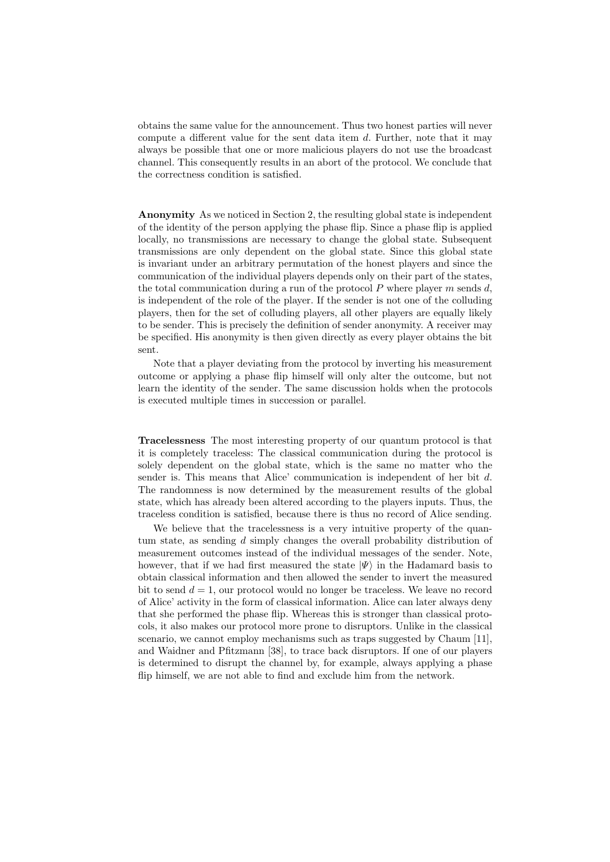obtains the same value for the announcement. Thus two honest parties will never compute a different value for the sent data item  $d$ . Further, note that it may always be possible that one or more malicious players do not use the broadcast channel. This consequently results in an abort of the protocol. We conclude that the correctness condition is satisfied.

Anonymity As we noticed in Section 2, the resulting global state is independent of the identity of the person applying the phase flip. Since a phase flip is applied locally, no transmissions are necessary to change the global state. Subsequent transmissions are only dependent on the global state. Since this global state is invariant under an arbitrary permutation of the honest players and since the communication of the individual players depends only on their part of the states, the total communication during a run of the protocol  $P$  where player  $m$  sends  $d$ , is independent of the role of the player. If the sender is not one of the colluding players, then for the set of colluding players, all other players are equally likely to be sender. This is precisely the definition of sender anonymity. A receiver may be specified. His anonymity is then given directly as every player obtains the bit sent.

Note that a player deviating from the protocol by inverting his measurement outcome or applying a phase flip himself will only alter the outcome, but not learn the identity of the sender. The same discussion holds when the protocols is executed multiple times in succession or parallel.

Tracelessness The most interesting property of our quantum protocol is that it is completely traceless: The classical communication during the protocol is solely dependent on the global state, which is the same no matter who the sender is. This means that Alice' communication is independent of her bit d. The randomness is now determined by the measurement results of the global state, which has already been altered according to the players inputs. Thus, the traceless condition is satisfied, because there is thus no record of Alice sending.

We believe that the tracelessness is a very intuitive property of the quantum state, as sending d simply changes the overall probability distribution of measurement outcomes instead of the individual messages of the sender. Note, however, that if we had first measured the state  $|\Psi\rangle$  in the Hadamard basis to obtain classical information and then allowed the sender to invert the measured bit to send  $d = 1$ , our protocol would no longer be traceless. We leave no record of Alice' activity in the form of classical information. Alice can later always deny that she performed the phase flip. Whereas this is stronger than classical protocols, it also makes our protocol more prone to disruptors. Unlike in the classical scenario, we cannot employ mechanisms such as traps suggested by Chaum [11], and Waidner and Pfitzmann [38], to trace back disruptors. If one of our players is determined to disrupt the channel by, for example, always applying a phase flip himself, we are not able to find and exclude him from the network.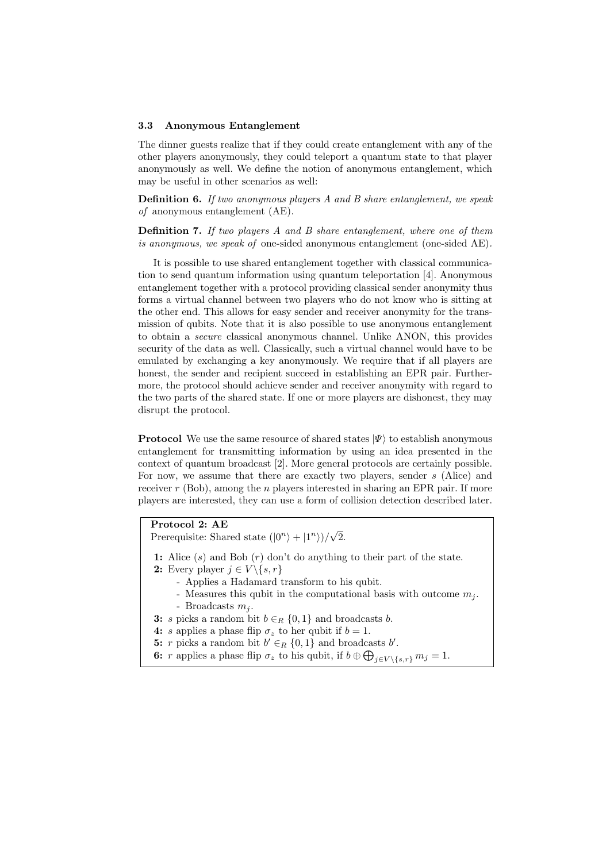#### 3.3 Anonymous Entanglement

The dinner guests realize that if they could create entanglement with any of the other players anonymously, they could teleport a quantum state to that player anonymously as well. We define the notion of anonymous entanglement, which may be useful in other scenarios as well:

**Definition 6.** If two anonymous players A and B share entanglement, we speak of anonymous entanglement (AE).

**Definition 7.** If two players A and B share entanglement, where one of them is anonymous, we speak of one-sided anonymous entanglement (one-sided AE).

It is possible to use shared entanglement together with classical communication to send quantum information using quantum teleportation [4]. Anonymous entanglement together with a protocol providing classical sender anonymity thus forms a virtual channel between two players who do not know who is sitting at the other end. This allows for easy sender and receiver anonymity for the transmission of qubits. Note that it is also possible to use anonymous entanglement to obtain a secure classical anonymous channel. Unlike ANON, this provides security of the data as well. Classically, such a virtual channel would have to be emulated by exchanging a key anonymously. We require that if all players are honest, the sender and recipient succeed in establishing an EPR pair. Furthermore, the protocol should achieve sender and receiver anonymity with regard to the two parts of the shared state. If one or more players are dishonest, they may disrupt the protocol.

**Protocol** We use the same resource of shared states  $|\Psi\rangle$  to establish anonymous entanglement for transmitting information by using an idea presented in the context of quantum broadcast [2]. More general protocols are certainly possible. For now, we assume that there are exactly two players, sender s (Alice) and receiver  $r$  (Bob), among the  $n$  players interested in sharing an EPR pair. If more players are interested, they can use a form of collision detection described later.

## Protocol 2: AE

**Prerequisite:** Shared state  $(|0^n\rangle + |1^n\rangle)/\sqrt{\ }$ 2.

- 1: Alice  $(s)$  and Bob  $(r)$  don't do anything to their part of the state.
- 2: Every player  $j \in V \backslash \{s, r\}$ 
	- Applies a Hadamard transform to his qubit.
	- Measures this qubit in the computational basis with outcome  $m_i$ .
	- Broadcasts  $m_i$ .
- 3: s picks a random bit  $b \in_R \{0,1\}$  and broadcasts b.
- 4: s applies a phase flip  $\sigma_z$  to her qubit if  $b = 1$ .
- 5: r picks a random bit  $b' \in_R \{0,1\}$  and broadcasts b'.
- **6:** r applies a phase flip  $\sigma_z$  to his qubit, if  $b \oplus \bigoplus_{j \in V \setminus \{s,r\}} m_j = 1$ .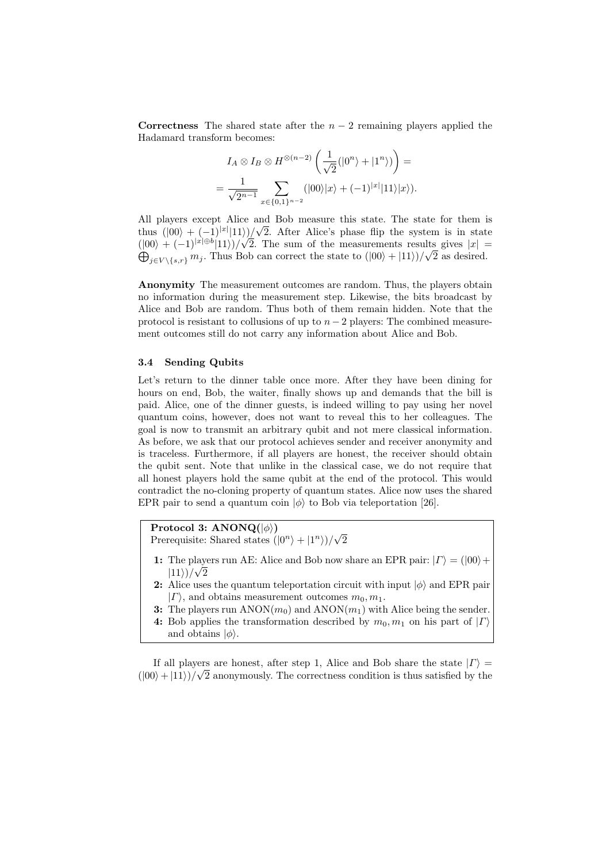Correctness The shared state after the  $n-2$  remaining players applied the Hadamard transform becomes:

$$
I_A \otimes I_B \otimes H^{\otimes (n-2)}\left(\frac{1}{\sqrt{2}}(|0^n\rangle + |1^n\rangle)\right) =
$$
  
= 
$$
\frac{1}{\sqrt{2^{n-1}}} \sum_{x \in \{0,1\}^{n-2}} (|00\rangle |x\rangle + (-1)^{|x|} |11\rangle |x\rangle).
$$

All players except Alice and Bob measure this state. The state for them is thus  $(|00\rangle + (-1)^{|x|} |11\rangle)/\sqrt{2}$ . After Alice's phase flip the system is in state  $(|00\rangle + (-1)^{|x| \oplus b} |11\rangle)/\sqrt{2}$ . The sum of the measurements results gives  $|x| =$  $\bigoplus_{j\in V\setminus\{s,r\}} m_j$ . Thus Bob can correct the state to  $(|00\rangle + |11\rangle)/\sqrt{2}$  as desired.

Anonymity The measurement outcomes are random. Thus, the players obtain no information during the measurement step. Likewise, the bits broadcast by Alice and Bob are random. Thus both of them remain hidden. Note that the protocol is resistant to collusions of up to  $n-2$  players: The combined measurement outcomes still do not carry any information about Alice and Bob.

#### 3.4 Sending Qubits

Let's return to the dinner table once more. After they have been dining for hours on end, Bob, the waiter, finally shows up and demands that the bill is paid. Alice, one of the dinner guests, is indeed willing to pay using her novel quantum coins, however, does not want to reveal this to her colleagues. The goal is now to transmit an arbitrary qubit and not mere classical information. As before, we ask that our protocol achieves sender and receiver anonymity and is traceless. Furthermore, if all players are honest, the receiver should obtain the qubit sent. Note that unlike in the classical case, we do not require that all honest players hold the same qubit at the end of the protocol. This would contradict the no-cloning property of quantum states. Alice now uses the shared EPR pair to send a quantum coin  $|\phi\rangle$  to Bob via teleportation [26].

Protocol 3:  $ANDNQ(|\phi\rangle)$ 

**Protocol 3:** ANUNQ( $|\varphi\rangle$ )<br>Prerequisite: Shared states  $(|0^n\rangle + |1^n\rangle)/\sqrt{\ }$  $\overline{2}$ 

- 1: The players run AE: Alice and Bob now share an EPR pair:  $| \Gamma \rangle = (|00\rangle +$  $|11\rangle)/\sqrt{2}$
- 2: Alice uses the quantum teleportation circuit with input  $|\phi\rangle$  and EPR pair  $| \Gamma \rangle$ , and obtains measurement outcomes  $m_0, m_1$ .
- 3: The players run  $\text{ANON}(m_0)$  and  $\text{ANON}(m_1)$  with Alice being the sender.
- 4: Bob applies the transformation described by  $m_0, m_1$  on his part of  $|\Gamma\rangle$ and obtains  $|\phi\rangle$ .

If all players are honest, after step 1, Alice and Bob share the state  $| \Gamma \rangle =$  $(|00\rangle + |11\rangle)/\sqrt{2}$  anonymously. The correctness condition is thus satisfied by the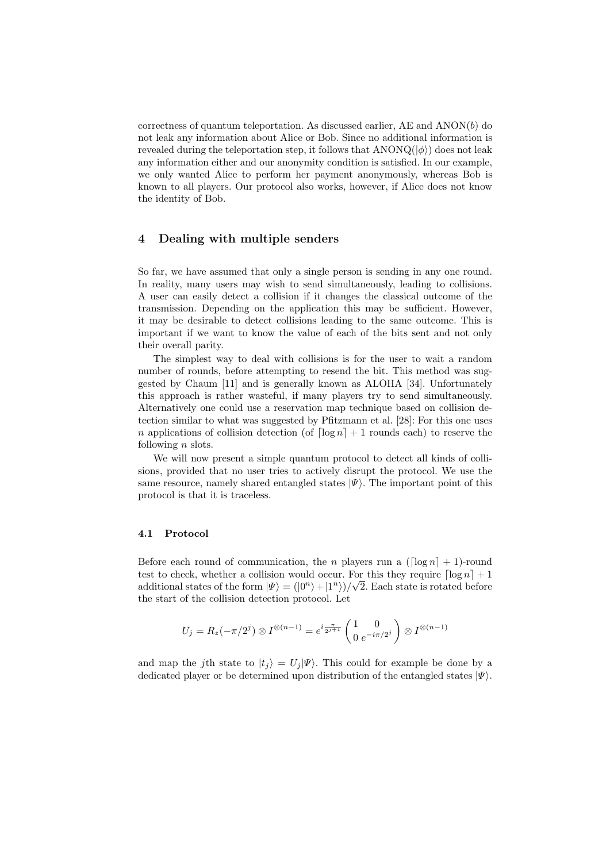correctness of quantum teleportation. As discussed earlier,  $AE$  and  $ANON(b)$  do not leak any information about Alice or Bob. Since no additional information is revealed during the teleportation step, it follows that  $\text{ANONQ}(\ket{\phi})$  does not leak any information either and our anonymity condition is satisfied. In our example, we only wanted Alice to perform her payment anonymously, whereas Bob is known to all players. Our protocol also works, however, if Alice does not know the identity of Bob.

# 4 Dealing with multiple senders

So far, we have assumed that only a single person is sending in any one round. In reality, many users may wish to send simultaneously, leading to collisions. A user can easily detect a collision if it changes the classical outcome of the transmission. Depending on the application this may be sufficient. However, it may be desirable to detect collisions leading to the same outcome. This is important if we want to know the value of each of the bits sent and not only their overall parity.

The simplest way to deal with collisions is for the user to wait a random number of rounds, before attempting to resend the bit. This method was suggested by Chaum [11] and is generally known as ALOHA [34]. Unfortunately this approach is rather wasteful, if many players try to send simultaneously. Alternatively one could use a reservation map technique based on collision detection similar to what was suggested by Pfitzmann et al. [28]: For this one uses n applications of collision detection (of  $\lceil \log n \rceil + 1$  rounds each) to reserve the following  $n$  slots.

We will now present a simple quantum protocol to detect all kinds of collisions, provided that no user tries to actively disrupt the protocol. We use the same resource, namely shared entangled states  $|\Psi\rangle$ . The important point of this protocol is that it is traceless.

#### 4.1 Protocol

Before each round of communication, the *n* players run a ( $\lceil \log n \rceil + 1$ )-round test to check, whether a collision would occur. For this they require  $\lceil \log n \rceil + 1$ additional states of the form  $|\Psi\rangle = (|0^n\rangle + |1^n\rangle)/\sqrt{2}$ . Each state is rotated before the start of the collision detection protocol. Let

$$
U_j = R_z(-\pi/2^j) \otimes I^{\otimes (n-1)} = e^{i\frac{\pi}{2^{j+1}}} \begin{pmatrix} 1 & 0\\ 0 & e^{-i\pi/2^j} \end{pmatrix} \otimes I^{\otimes (n-1)}
$$

and map the j<sup>th</sup> state to  $|t_i\rangle = U_i |\Psi\rangle$ . This could for example be done by a dedicated player or be determined upon distribution of the entangled states  $|\Psi\rangle$ .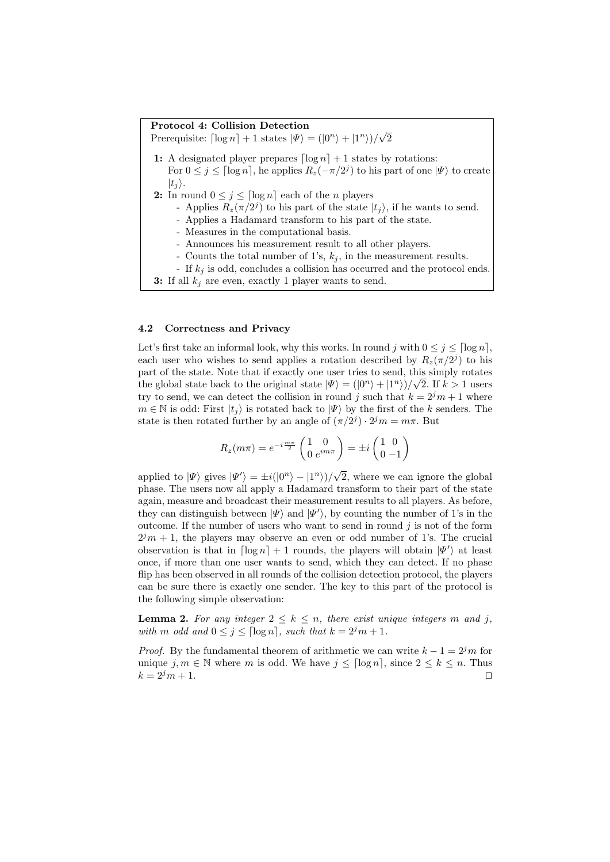Protocol 4: Collision Detection **Protocol 4: Collision Detection**<br>Prerequisite:  $\lceil \log n \rceil + 1$  states  $|\Psi\rangle = (|0^n\rangle + |1^n\rangle)/\sqrt{ }$ 2 1: A designated player prepares  $\lceil \log n \rceil + 1$  states by rotations: For  $0 \leq j \leq \lceil \log n \rceil$ , he applies  $R_z(-\pi/2^j)$  to his part of one  $|\Psi\rangle$  to create  $|t_i\rangle$ . 2: In round  $0 \leq j \leq \lceil \log n \rceil$  each of the *n* players - Applies  $R_z(\pi/2^j)$  to his part of the state  $|t_j\rangle$ , if he wants to send. - Applies a Hadamard transform to his part of the state. - Measures in the computational basis. - Announces his measurement result to all other players. - Counts the total number of 1's,  $k_i$ , in the measurement results. - If  $k_i$  is odd, concludes a collision has occurred and the protocol ends. 3: If all  $k_i$  are even, exactly 1 player wants to send.

#### 4.2 Correctness and Privacy

Let's first take an informal look, why this works. In round j with  $0 \le j \le \lceil \log n \rceil$ , each user who wishes to send applies a rotation described by  $R_z(\pi/2^j)$  to his part of the state. Note that if exactly one user tries to send, this simply rotates the global state back to the original state  $|\Psi\rangle = (|0^n\rangle + |1^n\rangle)/\sqrt{2}$ . If  $k > 1$  users try to send, we can detect the collision in round j such that  $k = 2<sup>j</sup>m + 1$  where  $m \in \mathbb{N}$  is odd: First  $|t_i\rangle$  is rotated back to  $|\Psi\rangle$  by the first of the k senders. The state is then rotated further by an angle of  $(\pi/2^j) \cdot 2^j m = m\pi$ . But

$$
R_z(m\pi) = e^{-i\frac{m\pi}{2}} \begin{pmatrix} 1 & 0\\ 0 & e^{im\pi} \end{pmatrix} = \pm i \begin{pmatrix} 1 & 0\\ 0 & -1 \end{pmatrix}
$$

applied to  $|\Psi\rangle$  gives  $|\Psi'\rangle = \pm i(|0^n\rangle - |1^n\rangle)/\sqrt{\ }$ 2, where we can ignore the global phase. The users now all apply a Hadamard transform to their part of the state again, measure and broadcast their measurement results to all players. As before, they can distinguish between  $|\Psi\rangle$  and  $|\Psi'\rangle$ , by counting the number of 1's in the outcome. If the number of users who want to send in round  $j$  is not of the form  $2^{j}m + 1$ , the players may observe an even or odd number of 1's. The crucial observation is that in  $\lceil \log n \rceil + 1$  rounds, the players will obtain  $|\Psi'\rangle$  at least once, if more than one user wants to send, which they can detect. If no phase flip has been observed in all rounds of the collision detection protocol, the players can be sure there is exactly one sender. The key to this part of the protocol is the following simple observation:

**Lemma 2.** For any integer  $2 \leq k \leq n$ , there exist unique integers m and j, with m odd and  $0 \leq j \leq \lceil \log n \rceil$ , such that  $k = 2^{j}m + 1$ .

*Proof.* By the fundamental theorem of arithmetic we can write  $k - 1 = 2<sup>j</sup>m$  for unique  $j, m \in \mathbb{N}$  where m is odd. We have  $j \leq \lceil \log n \rceil$ , since  $2 \leq k \leq n$ . Thus  $k = 2<sup>j</sup>m + 1.$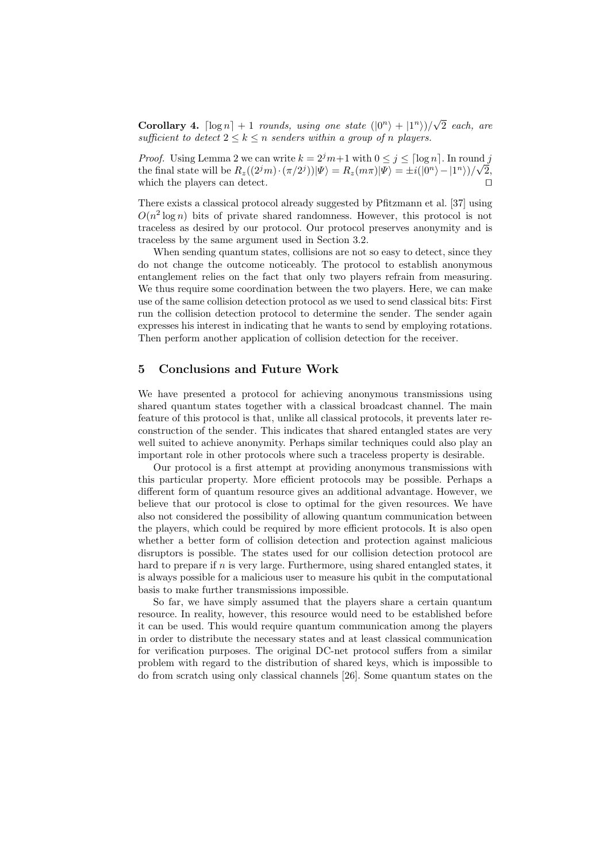**Corollary 4.**  $\lceil \log n \rceil + 1$  rounds, using one state  $(|0^n\rangle + |1^n\rangle)/\sqrt{ }$ 2 each, are sufficient to detect  $2 \leq k \leq n$  senders within a group of n players.

*Proof.* Using Lemma 2 we can write  $k = 2^{j}m+1$  with  $0 \leq j \leq \lceil \log n \rceil$ . In round j the final state will be  $R_z((2^j m) \cdot (\pi/2^j))|\Psi\rangle = R_z(m\pi)|\Psi\rangle = \pm i(|0^n\rangle - |1^n\rangle)/\sqrt{2}$ , which the players can detect.  $\square$ 

There exists a classical protocol already suggested by Pfitzmann et al. [37] using  $O(n^2 \log n)$  bits of private shared randomness. However, this protocol is not traceless as desired by our protocol. Our protocol preserves anonymity and is traceless by the same argument used in Section 3.2.

When sending quantum states, collisions are not so easy to detect, since they do not change the outcome noticeably. The protocol to establish anonymous entanglement relies on the fact that only two players refrain from measuring. We thus require some coordination between the two players. Here, we can make use of the same collision detection protocol as we used to send classical bits: First run the collision detection protocol to determine the sender. The sender again expresses his interest in indicating that he wants to send by employing rotations. Then perform another application of collision detection for the receiver.

# 5 Conclusions and Future Work

We have presented a protocol for achieving anonymous transmissions using shared quantum states together with a classical broadcast channel. The main feature of this protocol is that, unlike all classical protocols, it prevents later reconstruction of the sender. This indicates that shared entangled states are very well suited to achieve anonymity. Perhaps similar techniques could also play an important role in other protocols where such a traceless property is desirable.

Our protocol is a first attempt at providing anonymous transmissions with this particular property. More efficient protocols may be possible. Perhaps a different form of quantum resource gives an additional advantage. However, we believe that our protocol is close to optimal for the given resources. We have also not considered the possibility of allowing quantum communication between the players, which could be required by more efficient protocols. It is also open whether a better form of collision detection and protection against malicious disruptors is possible. The states used for our collision detection protocol are hard to prepare if n is very large. Furthermore, using shared entangled states, it is always possible for a malicious user to measure his qubit in the computational basis to make further transmissions impossible.

So far, we have simply assumed that the players share a certain quantum resource. In reality, however, this resource would need to be established before it can be used. This would require quantum communication among the players in order to distribute the necessary states and at least classical communication for verification purposes. The original DC-net protocol suffers from a similar problem with regard to the distribution of shared keys, which is impossible to do from scratch using only classical channels [26]. Some quantum states on the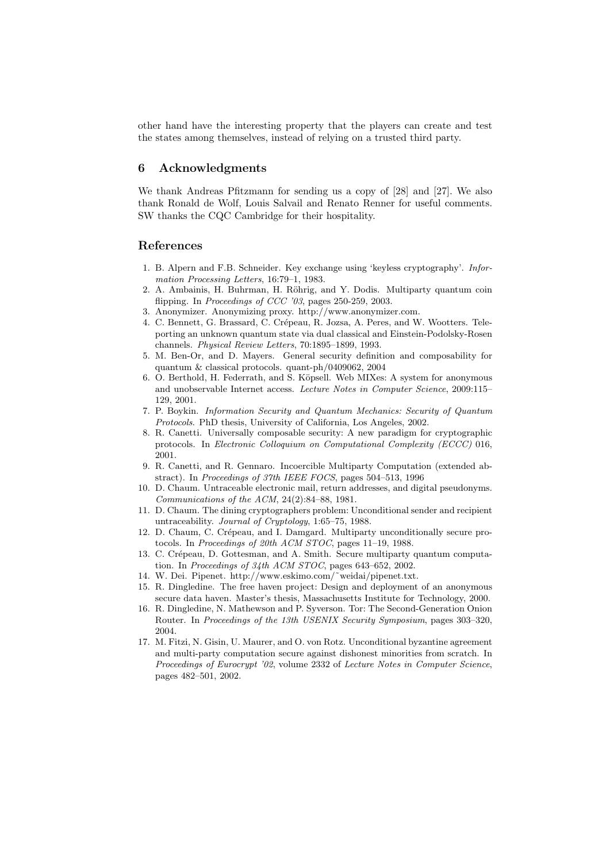other hand have the interesting property that the players can create and test the states among themselves, instead of relying on a trusted third party.

# 6 Acknowledgments

We thank Andreas Pfitzmann for sending us a copy of [28] and [27]. We also thank Ronald de Wolf, Louis Salvail and Renato Renner for useful comments. SW thanks the CQC Cambridge for their hospitality.

## References

- 1. B. Alpern and F.B. Schneider. Key exchange using 'keyless cryptography'. Information Processing Letters, 16:79–1, 1983.
- 2. A. Ambainis, H. Buhrman, H. Röhrig, and Y. Dodis. Multiparty quantum coin flipping. In Proceedings of CCC '03, pages 250-259, 2003.
- 3. Anonymizer. Anonymizing proxy. http://www.anonymizer.com.
- 4. C. Bennett, G. Brassard, C. Crépeau, R. Jozsa, A. Peres, and W. Wootters. Teleporting an unknown quantum state via dual classical and Einstein-Podolsky-Rosen channels. Physical Review Letters, 70:1895–1899, 1993.
- 5. M. Ben-Or, and D. Mayers. General security definition and composability for quantum & classical protocols. quant-ph/0409062, 2004
- 6. O. Berthold, H. Federrath, and S. Köpsell. Web MIXes: A system for anonymous and unobservable Internet access. Lecture Notes in Computer Science, 2009:115– 129, 2001.
- 7. P. Boykin. Information Security and Quantum Mechanics: Security of Quantum Protocols. PhD thesis, University of California, Los Angeles, 2002.
- 8. R. Canetti. Universally composable security: A new paradigm for cryptographic protocols. In Electronic Colloquium on Computational Complexity (ECCC) 016, 2001.
- 9. R. Canetti, and R. Gennaro. Incoercible Multiparty Computation (extended abstract). In Proceedings of 37th IEEE FOCS, pages 504–513, 1996
- 10. D. Chaum. Untraceable electronic mail, return addresses, and digital pseudonyms. Communications of the ACM, 24(2):84–88, 1981.
- 11. D. Chaum. The dining cryptographers problem: Unconditional sender and recipient untraceability. Journal of Cryptology, 1:65–75, 1988.
- 12. D. Chaum, C. Crépeau, and I. Damgard. Multiparty unconditionally secure protocols. In Proceedings of 20th ACM STOC, pages 11–19, 1988.
- C. Crépeau, D. Gottesman, and A. Smith. Secure multiparty quantum computation. In Proceedings of 34th ACM STOC, pages 643–652, 2002.
- 14. W. Dei. Pipenet. http://www.eskimo.com/˜weidai/pipenet.txt.
- 15. R. Dingledine. The free haven project: Design and deployment of an anonymous secure data haven. Master's thesis, Massachusetts Institute for Technology, 2000.
- 16. R. Dingledine, N. Mathewson and P. Syverson. Tor: The Second-Generation Onion Router. In Proceedings of the 13th USENIX Security Symposium, pages 303–320, 2004.
- 17. M. Fitzi, N. Gisin, U. Maurer, and O. von Rotz. Unconditional byzantine agreement and multi-party computation secure against dishonest minorities from scratch. In Proceedings of Eurocrypt '02, volume 2332 of Lecture Notes in Computer Science, pages 482–501, 2002.